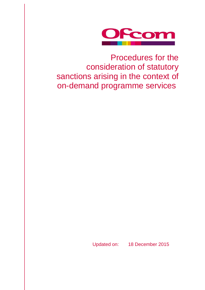

Procedures for the consideration of statutory sanctions arising in the context of on-demand programme services

Updated on: 18 December 2015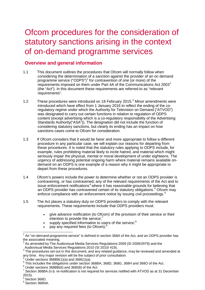# Ofcom procedures for the consideration of statutory sanctions arising in the context of on-demand programme services

## **Overview and general information**

- 1.1 This document outlines the procedures that Ofcom will normally follow when considering the determination of a sanction against the provider of an on demand programme service ("ODPS") [1](#page-1-0) for contravention of one (or more) of the requirements imposed on them under Part 4A of the Communications Act [2](#page-1-1)003<sup>2</sup> (the "Act"). In this document these requirements are referred to as "relevant requirements".
- 1.2 These procedures were introduced on 18 February 2015.<sup>[3](#page-1-2)</sup> Minor amendments were introduced which have effect from 1 January 2016 to reflect the ending of the coregulatory regime under which the Authority for Television on Demand ("ATVOD") was designated to carry out certain functions in relation to regulation of ODPS content (except advertising which is a co-regulatory responsibility of the Advertising Standards Authority("ASA")). The designation did not include the function of considering statutory sanctions, but clearly its ending has an impact on how sanctions cases come to Ofcom for consideration.
- 1.3 If Ofcom considers that it would be fairer and more appropriate to follow a different procedure in any particular case, we will explain our reasons for departing from these procedures. It is noted that the statutory rules applying to ODPS include, for example, rules prohibiting material likely to incite hatred, and material which might seriously impair the physical, mental or moral development of under eighteens. The urgency of addressing potential ongoing harm where material remains available ondemand on an ODPS is one example of a reason why it might be appropriate to depart from these procedures.
- 1.4 Ofcom's powers include the power to determine whether or not an ODPS provider is contravening, or has contravened, any of the relevant requirements of the Act and to issue enforcement notifications<sup>[4](#page-1-3)</sup> where it has reasonable grounds for believing that an ODPS provider has contravened certain of its statutory obligations. [5](#page-1-4) Ofcom may enforce compliance with an enforcement notice by issuing civil proceedings.<sup>[6](#page-1-5)</sup>
- 1.5 The Act places a statutory duty on ODPS providers to comply with the relevant requirements. These requirements include that ODPS providers must:
	- give advance notification (to Ofcom) of the provision of their service or their intention to provide the service;<sup>[7](#page-1-6)</sup>
	- $\bullet$  supply specified information to users of the service;
	- pay any required fees (to Ofcom);<sup>[9](#page-1-8)</sup>

 $1$  An "on-demand programme service" is defined in section 368A of the Act, and an ODPS provider has  $\overline{a}$ 

<span id="page-1-1"></span><span id="page-1-0"></span>the associated meaning.<br><sup>2</sup> As amended by The Audiovisual Media Services Regulations 2009 (SI 2009/2979) and the<br>Audiovisual Media Services Regulations 2010 (SI 2010/ 419).

<span id="page-1-2"></span> $3$  The procedures set out in this document, and any related guidance, may be reviewed and amended at any time. Any major revision will be the subject of prior consultation.

<span id="page-1-4"></span>

<span id="page-1-6"></span><span id="page-1-5"></span>

<span id="page-1-3"></span><sup>&</sup>lt;sup>4</sup> Under sections 368BB(1)(a) and 368I(1)(a).<br><sup>5</sup> This includes the obligations under section 368BA, 368D, 368G, 368H and 368O of the Act.<br><sup>6</sup> Under sections 368BB(6) and 368I(8) of the Act.<br><sup>7</sup> Section 368BA (n.b. re-no 2015).

<span id="page-1-8"></span><span id="page-1-7"></span> $\mathrm{^8}$  Section 368D.<br> $\mathrm{^9}$  Section 368NA.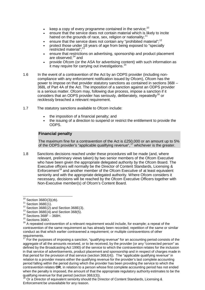- keep a copy of every programme contained in the service;<sup>[10](#page-2-0)</sup>
- ensure that the service does not contain material which is likely to incite hatred on the grounds of race, sex, religion or nationality;<sup>[11](#page-2-1)</sup>
- ensure that the service does not contain any "prohibited material";<sup>[12](#page-2-2)</sup>
- protect those under 18 years of age from being exposed to "specially restricted material";<sup>[13](#page-2-3)</sup>
- ensure that restrictions on advertising, sponsorship and product placement are observed;<sup>[14](#page-2-4)</sup> and
- provide Ofcom (or the ASA for advertising content) with such information as it may require for carrying out investigations.<sup>[15](#page-2-5)</sup>
- 1.6 In the event of a contravention of the Act by an ODPS provider (including noncompliance with any enforcement notification issued by Ofcom), Ofcom has the power to impose on that provider statutory sanctions as contained in sections 368I – 368L of Part 4A of the Act. The imposition of a sanction against an ODPS provider is a serious matter. Ofcom may, following due process, impose a sanction if it considers that an ODPS provider has seriously, deliberately, repeatedly<sup>[16](#page-2-6)</sup> or recklessly breached a relevant requirement.
- 1.7 The statutory sanctions available to Ofcom include:
	- the imposition of a financial penalty; and
	- the issuing of a direction to suspend or restrict the entitlement to provide the ODPS.

## **Financial penalty**

The maximum fine for a contravention of the Act is £250,000 or an amount up to 5% of the ODPS provider's "applicable qualifying revenue",<sup>[17](#page-2-7)</sup> whichever is the greater.

1.8 Sanctions decisions reached under these procedures will be made (and, where relevant, preliminary views taken) by two senior members of the Ofcom Executive who have been given the appropriate delegated authority by the Ofcom Board. The Executive officers will normally be the Director of Content Standards, Licensing & Enforcement<sup>[18](#page-2-8)</sup> and another member of the Ofcom Executive of at least equivalent seniority and with the appropriate delegated authority. Where Ofcom considers it necessary, decisions will be reached by the Ofcom Executive Officers together with Non-Executive member(s) of Ofcom's Content Board.

 $10$  Section 368D(3)(zb).

<span id="page-2-2"></span><span id="page-2-1"></span><span id="page-2-0"></span><sup>&</sup>lt;sup>11</sup> Section 368E(1). <sup>12</sup> Section 368E(2) and Section 368E(3). <sup>13</sup> Section 368E(4) and Section 368(5). <sup>14</sup> Sections 368F – 368H. <sup>15</sup> Sections 368O.

<span id="page-2-4"></span><span id="page-2-3"></span>

<span id="page-2-6"></span><span id="page-2-5"></span> $16$  A repeated contravention of a relevant requirement would include, for example; a repeat of the contravention of the same requirement as has already been recorded; repetition of the same or similar conduct as that which earlier contravened a requirement; or multiple contraventions of other requirements.

<span id="page-2-7"></span> $17$  For the purposes of imposing a sanction, "qualifying revenue" for an accounting period consists of the aggregate of all the amounts received, or to be received, by the provider (or any "connected person" as defined by the Broadcasting Act 1990) of the service to which the contravention relates for the inclusion in that service of advertisements, product placement and sponsorship and in respect of charges made in that period for the provision of that service (section 368J(4)). The "applicable qualifying revenue" in relation to a provider means either the qualifying revenue for the provider's last complete accounting period falling within the period during which the provider has been providing the service to which the contravention relates **OR**, in relation to a person whose first complete accounting period has not ended when the penalty is imposed, the amount of that the appropriate regulatory authority estimates to be the qualifying revenue for that period (section 368J(3)).

<span id="page-2-8"></span>Or a Director of equivalent seniority should the Director of Content Standards, Licensing & Enforcement be unavailable for any reason.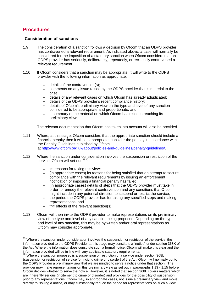# **Procedures**

 $\overline{a}$ 

## **Consideration of sanctions**

- 1.9 The consideration of a sanction follows a decision by Ofcom that an ODPS provider has contravened a relevant requirement. As indicated above, a case will normally be considered for the imposition of a statutory sanction when Ofcom considers that an ODPS provider has seriously, deliberately, repeatedly, or recklessly contravened a relevant requirement.
- 1.10 If Ofcom considers that a sanction may be appropriate, it will write to the ODPS provider with the following information as appropriate:
	- details of the contravention(s);
	- comments on any issue raised by the ODPS provider that is material to the case;
	- details of any relevant cases on which Ofcom has already adjudicated;
	- details of the ODPS provider's recent compliance history;
	- details of Ofcom's preliminary view on the type and level of any sanction considered to be appropriate and proportionate; and
	- a summary of the material on which Ofcom has relied in reaching its preliminary view.

The relevant documentation that Ofcom has taken into account will also be provided.

- 1.11 Where, at this stage, Ofcom considers that the appropriate sanction should include a financial penalty then it will, as appropriate, consider the penalty in accordance with the Penalty Guidelines published by Ofcom at [http://www.ofcom.org.uk/about/policies-and-guidelines/penalty-guidelines/.](http://www.ofcom.org.uk/about/policies-and-guidelines/penalty-guidelines/)
- 1.12 Where the sanction under consideration involves the suspension or restriction of the service, Ofcom will set out:<sup>[19](#page-3-0)[20](#page-3-1)</sup>
	- its reasons for taking this view;
	- (in appropriate cases) its reasons for being satisfied that an attempt to secure compliance with the relevant requirements by issuing an enforcement notification or imposing a financial penalty has failed;
	- (in appropriate cases) details of steps that the ODPS provider must take in order to remedy the relevant contravention and any conditions that Ofcom might include in any potential direction to suspend or restrict the service;
	- the period the ODPS provider has for taking any specified steps and making representations; and
	- the effects of the relevant sanction(s).
- 1.13 Ofcom will then invite the ODPS provider to make representations on its preliminary view of the type and level of any sanction being proposed. Depending on the type and level of any sanction, this may be by written and/or oral representations as Ofcom may consider appropriate.

<span id="page-3-0"></span><sup>&</sup>lt;sup>19</sup> Where the sanction under consideration involves the suspension or restriction of the service, the information provided to the ODPS Provider at this stage may constitute a "notice" under section 368K of the Act. Where the information does constitute such a formal notice, Ofcom will make this clear and the information provided will be in line with any applicable statutory requirements.

<span id="page-3-1"></span> $^{20}$  Where the sanction proposed is a suspension or restriction of a service under section 368L (suspension or restriction of service for inciting crime or disorder) of the Act, Ofcom will normally put to the ODPS Provider a preliminary view that we are minded to serve a notice under that section. The provider may make representations on this preliminary view as set out in paragraphs 1.13 - 1.15 before Ofcom decides whether to serve the notice. However, it is noted that section 368L covers matters which are inherently serious (incitement to crime or disorder) and provides for the possibility of suspension prior to any representations. Ofcom may, in appropriate cases, not issue a preliminary view and move directly to issuing a notice, or may substantially reduce the period for representations on such a view.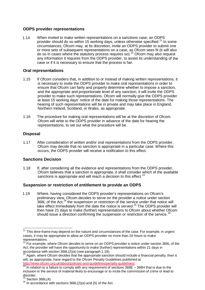## **ODPS provider representations**

1.14 When invited to make written representations on a sanctions case, an ODPS provider should do so within 15 working days, unless otherwise specified.<sup>[21](#page-4-0)</sup> In some circumstances, Ofcom may, at its discretion, invite an ODPS provider to submit one or more sets of subsequent representations on a case, as Ofcom sees fit (it will also do so in cases where the statutory process requires so). [22](#page-4-1) Ofcom may also request any information it requires from the ODPS provider, to assist its understanding of the case or if it is necessary to ensure that the process is fair.

## **Oral representations**

- 1.15 If Ofcom considers that, in addition to or instead of making written representations, it is necessary to invite the ODPS provider to make oral representations in order to ensure that Ofcom can fairly and properly determine whether to impose a sanction, and the appropriate and proportionate level of any sanction, it will invite the ODPS provider to make such representations. Ofcom will normally give the ODPS provider at least 15 working days' notice of the date for making those representations. The hearing of such representations will be in private and may take place in England, Northern Ireland, Scotland, or Wales, as appropriate.
- 1.16 The procedure for making oral representations will be at the discretion of Ofcom. Ofcom will write to the ODPS provider in advance of the date for hearing the representations, to set out what the procedure will be.

## **Disposal**

1.17 After consideration of written and/or oral representations from the ODPS provider, Ofcom may decide that no sanction is appropriate in a particular case. Where this occurs, the ODPS provider will receive a notification to this effect.

## **Sanctions Decision**

1.18 If, after considering all the evidence and representations from the ODPS provider, Ofcom believes that a sanction is appropriate, it shall consider which of the available sanctions is appropriate and will reach a decision to this effect.<sup>[23](#page-4-2)</sup>

## **Suspension or restriction of entitlement to provide an ODPS**

1.19 Where, having considered the ODPS provider's representations on Ofcom's preliminary view, Ofcom decides to serve on the provider a notice under section 368L of the Act,<sup>[24](#page-4-3)</sup> the suspension or restriction of the service under that notice will take effect immediately from the date the notice is served. $25$  The ODPS provider will then have 21 days to make (further) representations to Ofcom about whether Ofcom should issue a direction confirming the suspension or restriction of the service.<sup>[26](#page-4-5)</sup>

 $\overline{\phantom{a}}$ 

<span id="page-4-0"></span><sup>&</sup>lt;sup>21</sup> This time-frame may depend on the nature and circumstances of the case. For example, in urgent cases, it may be appropriate to allow an ODPS provider no more than 24 hours to make representations.<br><sup>22</sup> For example, where Ofcom decides to serve on an ODPS provider a notice under section 368L of the

<span id="page-4-1"></span>Act, the provider will have the opportunity to make (further) representations within 21 days in accordance with section  $368L(2)(e)$  (see paragraph 1.18).

<span id="page-4-2"></span>Again, where Ofcom decides that the appropriate sanction should include a financial penalty, then it will, as appropriate, have regard to the Ofcom Penalty Guidelines published at [http://www.ofcom.org.uk/about/policies-and-guidelines/penalty-guidelines/.](http://www.ofcom.org.uk/about/policies-and-guidelines/penalty-guidelines/)<br><sup>24</sup> In relation to a failure to comply with any requirement of sections 368E – 368H that is due to the

<span id="page-4-3"></span>inclusion in the service of material likely to encourage or to incite the commission of crime or lead to

<span id="page-4-5"></span><span id="page-4-4"></span><sup>&</sup>lt;sup>25</sup> Section 368L(4)<br><sup>26</sup> In accordance with sections 368L(2)(e) and (5) of the Act.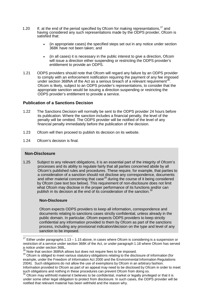- 1.20 If, at the end of the period specified by Ofcom for making representations,<sup>[27](#page-5-0)</sup> and having considered any such representations made by the ODPS provider, Ofcom is satisfied that:
	- (in appropriate cases) the specified steps set out in any notice under section 368K have not been taken; and
	- (in all cases) it is necessary in the public interest to give a direction, Ofcom will issue a direction either suspending or restricting the ODPS provider's entitlement to provide an ODPS.
- 1.21 ODPS providers should note that Ofcom will regard any failure by an ODPS provider to comply with an enforcement notification requiring the payment of any fee imposed under section 368NA of the Act as a serious breach of a relevant requirement<sup>[28](#page-5-1)</sup>. Ofcom is likely, subject to an ODPS provider's representations, to consider that the appropriate sanction would be issuing a direction suspending or restricting the ODPS provider's entitlement to provide a service.

### **Publication of a Sanctions Decision**

- 1.22 The Sanctions Decision will normally be sent to the ODPS provider 24 hours before its publication. Where the sanction includes a financial penalty, the level of the penalty will be omitted. The ODPS provider will be notified of the level of any financial penalty immediately before the publication of the decision.
- 1.23 Ofcom will then proceed to publish its decision on its website.
- 1.24 Ofcom's decision is final.

#### **Non-Disclosure**

 $\overline{a}$ 

1.25 Subject to any relevant obligations, it is an essential part of the integrity of Ofcom's processes and its ability to regulate fairly that all parties concerned abide by all Ofcom's published rules and procedures. These require, for example, that parties to a consideration of a sanction should not disclose any correspondence, documents and other material concerning that case<sup>[29](#page-5-2)</sup> during the course of it being considered by Ofcom (see text box below). This requirement of non-disclosure does not limit what Ofcom may disclose in the proper performance of its functions and/or can publish in its decision at the end of its consideration of the sanction.<sup>[30](#page-5-3)</sup>

#### **Non-Disclosure**

Ofcom expects ODPS providers to keep all information, correspondence and documents relating to sanctions cases strictly confidential, unless already in the public domain. In particular, Ofcom expects ODPS providers to keep strictly confidential any information provided to them by Ofcom as part of the sanctions process, including any provisional indication/decision on the type and level of any sanction to be imposed.

<span id="page-5-0"></span>Either under paragraphs 1.13 – 1.15 above, in cases where Ofcom is considering is a suspension or restriction of a service under section 368K of the Act, or under paragraph 1.18 where Ofcom has served a notice under section 368L.<br><sup>28</sup> Note that section 368NA allows but does not require fees to be imposed.

<span id="page-5-2"></span><span id="page-5-1"></span><sup>&</sup>lt;sup>29</sup> Ofcom is obliged to meet various statutory obligations relating to the disclosure of information (for example, under the Freedom of Information Act 2000 and the Environmental Information Regulations 2004). Such obligations do not allow the use of exemptions by Ofcom in an arbitrary fashion. Information provided to Ofcom as part of an appeal may need to be disclosed by Ofcom in order to meet such obligations and nothing in these procedures can prevent Ofcom from doing so.

<span id="page-5-3"></span> $30$  Ofcom may withhold material it believes to be confidential, market or legally privileged or that it is under some other legal obligation to protect from disclosure. In such cases, the ODPS provider will be notified that relevant material has been withheld and the reason why.